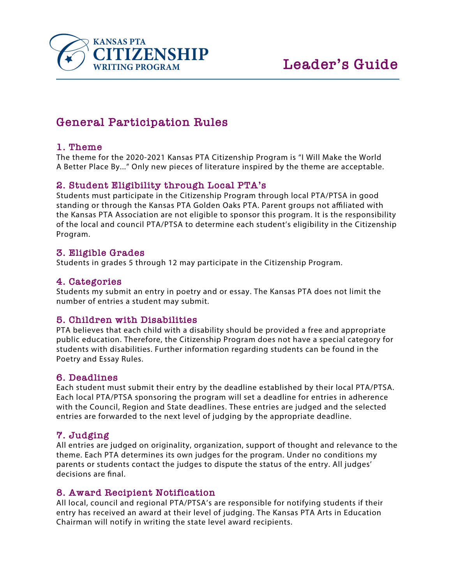

# **General Participation Rules**

## **1. Theme**

The theme for the 2020-2021 Kansas PTA Citizenship Program is "I Will Make the World A Better Place By..." Only new pieces of literature inspired by the theme are acceptable.

## **2. Student Eligibility through Local PTA's**

Students must participate in the Citizenship Program through local PTA/PTSA in good standing or through the Kansas PTA Golden Oaks PTA. Parent groups not affiliated with the Kansas PTA Association are not eligible to sponsor this program. It is the responsibility of the local and council PTA/PTSA to determine each student's eligibility in the Citizenship Program.

## **3. Eligible Grades**

Students in grades 5 through 12 may participate in the Citizenship Program.

### **4. Categories**

Students my submit an entry in poetry and or essay. The Kansas PTA does not limit the number of entries a student may submit.

## **5. Children with Disabilities**

PTA believes that each child with a disability should be provided a free and appropriate public education. Therefore, the Citizenship Program does not have a special category for students with disabilities. Further information regarding students can be found in the Poetry and Essay Rules.

## **6. Deadlines**

Each student must submit their entry by the deadline established by their local PTA/PTSA. Each local PTA/PTSA sponsoring the program will set a deadline for entries in adherence with the Council, Region and State deadlines. These entries are judged and the selected entries are forwarded to the next level of judging by the appropriate deadline.

## **7. Judging**

All entries are judged on originality, organization, support of thought and relevance to the theme. Each PTA determines its own judges for the program. Under no conditions my parents or students contact the judges to dispute the status of the entry. All judges' decisions are final.

## **8. Award Recipient Notification**

All local, council and regional PTA/PTSA's are responsible for notifying students if their entry has received an award at their level of judging. The Kansas PTA Arts in Education Chairman will notify in writing the state level award recipients.